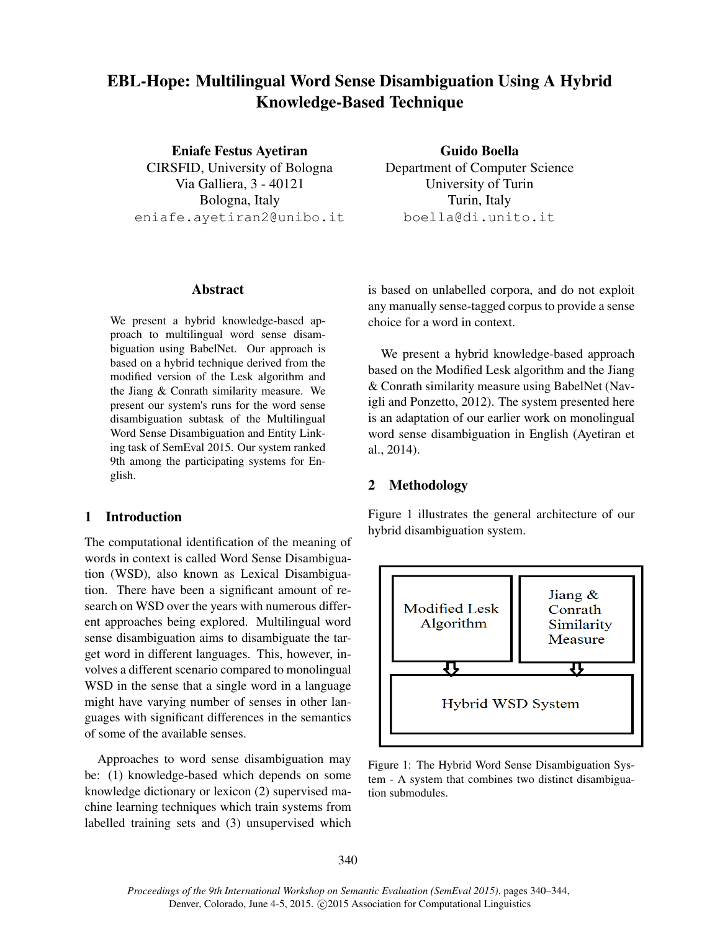# EBL-Hope: Multilingual Word Sense Disambiguation Using A Hybrid Knowledge-Based Technique

Eniafe Festus Ayetiran CIRSFID, University of Bologna Via Galliera, 3 - 40121 Bologna, Italy eniafe.ayetiran2@unibo.it

Guido Boella Department of Computer Science University of Turin Turin, Italy boella@di.unito.it

## Abstract

We present a hybrid knowledge-based approach to multilingual word sense disambiguation using BabelNet. Our approach is based on a hybrid technique derived from the modified version of the Lesk algorithm and the Jiang & Conrath similarity measure. We present our system's runs for the word sense disambiguation subtask of the Multilingual Word Sense Disambiguation and Entity Linking task of SemEval 2015. Our system ranked 9th among the participating systems for English.

## 1 Introduction

The computational identification of the meaning of words in context is called Word Sense Disambiguation (WSD), also known as Lexical Disambiguation. There have been a significant amount of research on WSD over the years with numerous different approaches being explored. Multilingual word sense disambiguation aims to disambiguate the target word in different languages. This, however, involves a different scenario compared to monolingual WSD in the sense that a single word in a language might have varying number of senses in other languages with significant differences in the semantics of some of the available senses.

Approaches to word sense disambiguation may be: (1) knowledge-based which depends on some knowledge dictionary or lexicon (2) supervised machine learning techniques which train systems from labelled training sets and (3) unsupervised which is based on unlabelled corpora, and do not exploit any manually sense-tagged corpus to provide a sense choice for a word in context.

We present a hybrid knowledge-based approach based on the Modified Lesk algorithm and the Jiang & Conrath similarity measure using BabelNet (Navigli and Ponzetto, 2012). The system presented here is an adaptation of our earlier work on monolingual word sense disambiguation in English (Ayetiran et al., 2014).

## 2 Methodology

Figure 1 illustrates the general architecture of our hybrid disambiguation system.



Figure 1: The Hybrid Word Sense Disambiguation System - A system that combines two distinct disambiguation submodules.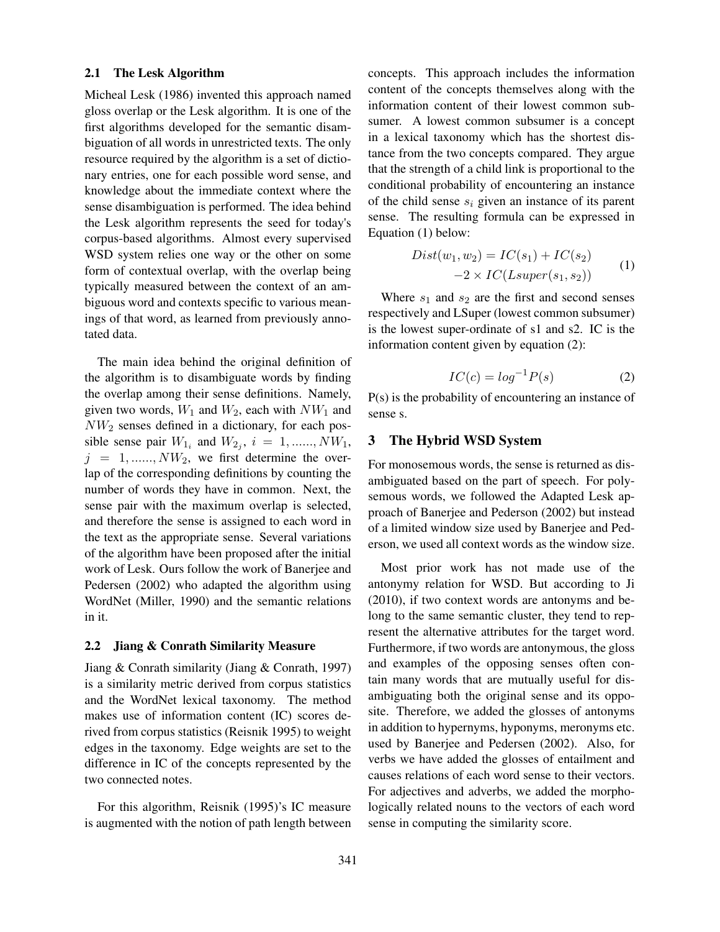#### 2.1 The Lesk Algorithm

Micheal Lesk (1986) invented this approach named gloss overlap or the Lesk algorithm. It is one of the first algorithms developed for the semantic disambiguation of all words in unrestricted texts. The only resource required by the algorithm is a set of dictionary entries, one for each possible word sense, and knowledge about the immediate context where the sense disambiguation is performed. The idea behind the Lesk algorithm represents the seed for today's corpus-based algorithms. Almost every supervised WSD system relies one way or the other on some form of contextual overlap, with the overlap being typically measured between the context of an ambiguous word and contexts specific to various meanings of that word, as learned from previously annotated data.

The main idea behind the original definition of the algorithm is to disambiguate words by finding the overlap among their sense definitions. Namely, given two words,  $W_1$  and  $W_2$ , each with  $NW_1$  and  $NW<sub>2</sub>$  senses defined in a dictionary, for each possible sense pair  $W_{1_i}$  and  $W_{2_j}$ ,  $i = 1, \dots, NW_1$ ,  $j = 1, \ldots, NW_2$ , we first determine the overlap of the corresponding definitions by counting the number of words they have in common. Next, the sense pair with the maximum overlap is selected, and therefore the sense is assigned to each word in the text as the appropriate sense. Several variations of the algorithm have been proposed after the initial work of Lesk. Ours follow the work of Banerjee and Pedersen (2002) who adapted the algorithm using WordNet (Miller, 1990) and the semantic relations in it.

#### 2.2 Jiang & Conrath Similarity Measure

Jiang & Conrath similarity (Jiang & Conrath, 1997) is a similarity metric derived from corpus statistics and the WordNet lexical taxonomy. The method makes use of information content (IC) scores derived from corpus statistics (Reisnik 1995) to weight edges in the taxonomy. Edge weights are set to the difference in IC of the concepts represented by the two connected notes.

For this algorithm, Reisnik (1995)'s IC measure is augmented with the notion of path length between concepts. This approach includes the information content of the concepts themselves along with the information content of their lowest common subsumer. A lowest common subsumer is a concept in a lexical taxonomy which has the shortest distance from the two concepts compared. They argue that the strength of a child link is proportional to the conditional probability of encountering an instance of the child sense  $s_i$  given an instance of its parent sense. The resulting formula can be expressed in Equation (1) below:

$$
Dist(w_1, w_2) = IC(s_1) + IC(s_2)
$$
  

$$
-2 \times IC(Lsuper(s_1, s_2))
$$
 (1)

Where  $s_1$  and  $s_2$  are the first and second senses respectively and LSuper (lowest common subsumer) is the lowest super-ordinate of s1 and s2. IC is the information content given by equation (2):

$$
IC(c) = \log^{-1} P(s) \tag{2}
$$

P(s) is the probability of encountering an instance of sense s.

## 3 The Hybrid WSD System

For monosemous words, the sense is returned as disambiguated based on the part of speech. For polysemous words, we followed the Adapted Lesk approach of Banerjee and Pederson (2002) but instead of a limited window size used by Banerjee and Pederson, we used all context words as the window size.

Most prior work has not made use of the antonymy relation for WSD. But according to Ji (2010), if two context words are antonyms and belong to the same semantic cluster, they tend to represent the alternative attributes for the target word. Furthermore, if two words are antonymous, the gloss and examples of the opposing senses often contain many words that are mutually useful for disambiguating both the original sense and its opposite. Therefore, we added the glosses of antonyms in addition to hypernyms, hyponyms, meronyms etc. used by Banerjee and Pedersen (2002). Also, for verbs we have added the glosses of entailment and causes relations of each word sense to their vectors. For adjectives and adverbs, we added the morphologically related nouns to the vectors of each word sense in computing the similarity score.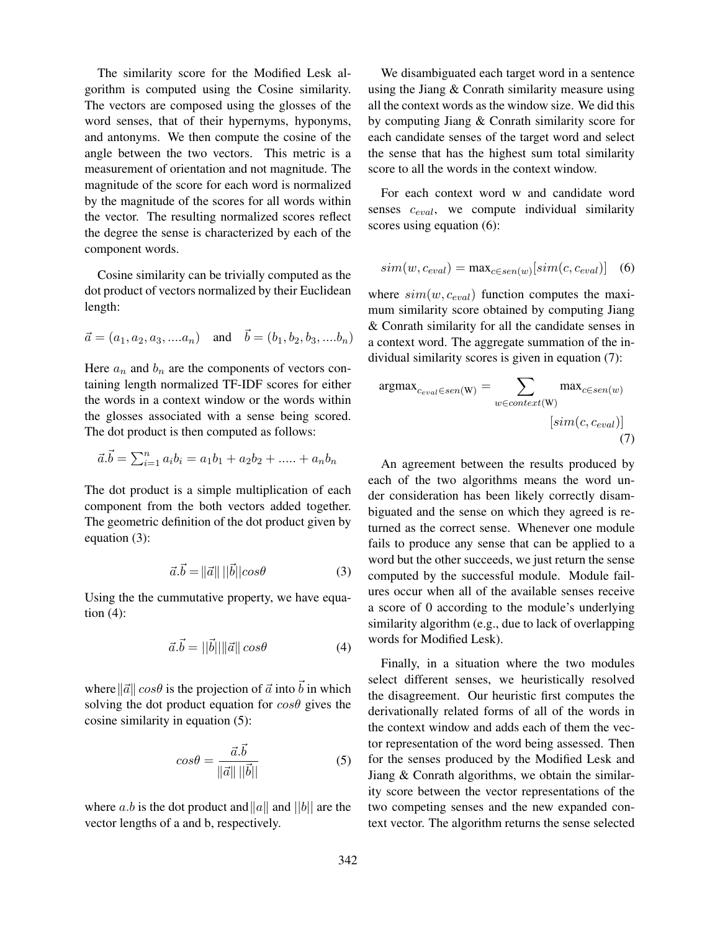The similarity score for the Modified Lesk algorithm is computed using the Cosine similarity. The vectors are composed using the glosses of the word senses, that of their hypernyms, hyponyms, and antonyms. We then compute the cosine of the angle between the two vectors. This metric is a measurement of orientation and not magnitude. The magnitude of the score for each word is normalized by the magnitude of the scores for all words within the vector. The resulting normalized scores reflect the degree the sense is characterized by each of the component words.

Cosine similarity can be trivially computed as the dot product of vectors normalized by their Euclidean length:

$$
\vec{a} = (a_1, a_2, a_3, ....a_n) \quad \text{and} \quad \vec{b} = (b_1, b_2, b_3, ....b_n)
$$

Here  $a_n$  and  $b_n$  are the components of vectors containing length normalized TF-IDF scores for either the words in a context window or the words within the glosses associated with a sense being scored. The dot product is then computed as follows:

$$
\vec{a}.\vec{b} = \sum_{i=1}^{n} a_i b_i = a_1 b_1 + a_2 b_2 + \dots + a_n b_n
$$

The dot product is a simple multiplication of each component from the both vectors added together. The geometric definition of the dot product given by equation (3):

$$
\vec{a}.\vec{b} = ||\vec{a}|| \, ||\vec{b}|| \cos \theta \tag{3}
$$

Using the the cummutative property, we have equation  $(4)$ :

$$
\vec{a}.\vec{b} = ||\vec{b}|| ||\vec{a}|| \cos\theta \tag{4}
$$

where  $\|\vec{a}\| \cos\theta$  is the projection of  $\vec{a}$  into  $\vec{b}$  in which solving the dot product equation for  $\cos\theta$  gives the cosine similarity in equation (5):

$$
cos\theta = \frac{\vec{a}.\vec{b}}{\|\vec{a}\| \|\vec{b}\|}
$$
 (5)

where a.b is the dot product and ||a|| and ||b|| are the vector lengths of a and b, respectively.

We disambiguated each target word in a sentence using the Jiang & Conrath similarity measure using all the context words as the window size. We did this by computing Jiang & Conrath similarity score for each candidate senses of the target word and select the sense that has the highest sum total similarity score to all the words in the context window.

For each context word w and candidate word senses  $c_{eval}$ , we compute individual similarity scores using equation (6):

$$
sim(w, c_{eval}) = \max_{c \in sen(w)}[sim(c, c_{eval})]
$$
 (6)

where  $sim(w, c_{eval})$  function computes the maximum similarity score obtained by computing Jiang & Conrath similarity for all the candidate senses in a context word. The aggregate summation of the individual similarity scores is given in equation (7):

$$
\operatorname{argmax}_{c_{eval} \in sen(W)} = \sum_{w \in context(W)} \max_{c \in sen(w)} \left[ \operatorname{sim}(c, c_{eval}) \right]
$$
\n
$$
[sim(c, c_{eval})]
$$
\n(7)

An agreement between the results produced by each of the two algorithms means the word under consideration has been likely correctly disambiguated and the sense on which they agreed is returned as the correct sense. Whenever one module fails to produce any sense that can be applied to a word but the other succeeds, we just return the sense computed by the successful module. Module failures occur when all of the available senses receive a score of 0 according to the module's underlying similarity algorithm (e.g., due to lack of overlapping words for Modified Lesk).

Finally, in a situation where the two modules select different senses, we heuristically resolved the disagreement. Our heuristic first computes the derivationally related forms of all of the words in the context window and adds each of them the vector representation of the word being assessed. Then for the senses produced by the Modified Lesk and Jiang & Conrath algorithms, we obtain the similarity score between the vector representations of the two competing senses and the new expanded context vector. The algorithm returns the sense selected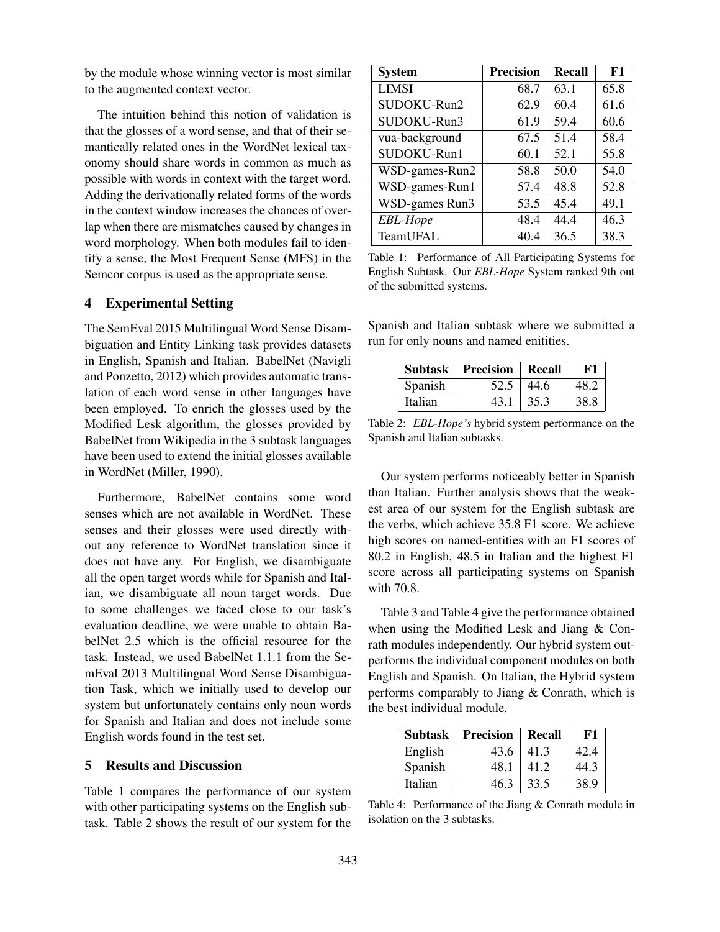by the module whose winning vector is most similar to the augmented context vector.

The intuition behind this notion of validation is that the glosses of a word sense, and that of their semantically related ones in the WordNet lexical taxonomy should share words in common as much as possible with words in context with the target word. Adding the derivationally related forms of the words in the context window increases the chances of overlap when there are mismatches caused by changes in word morphology. When both modules fail to identify a sense, the Most Frequent Sense (MFS) in the Semcor corpus is used as the appropriate sense.

#### 4 Experimental Setting

The SemEval 2015 Multilingual Word Sense Disambiguation and Entity Linking task provides datasets in English, Spanish and Italian. BabelNet (Navigli and Ponzetto, 2012) which provides automatic translation of each word sense in other languages have been employed. To enrich the glosses used by the Modified Lesk algorithm, the glosses provided by BabelNet from Wikipedia in the 3 subtask languages have been used to extend the initial glosses available in WordNet (Miller, 1990).

Furthermore, BabelNet contains some word senses which are not available in WordNet. These senses and their glosses were used directly without any reference to WordNet translation since it does not have any. For English, we disambiguate all the open target words while for Spanish and Italian, we disambiguate all noun target words. Due to some challenges we faced close to our task's evaluation deadline, we were unable to obtain BabelNet 2.5 which is the official resource for the task. Instead, we used BabelNet 1.1.1 from the SemEval 2013 Multilingual Word Sense Disambiguation Task, which we initially used to develop our system but unfortunately contains only noun words for Spanish and Italian and does not include some English words found in the test set.

## 5 Results and Discussion

Table 1 compares the performance of our system with other participating systems on the English subtask. Table 2 shows the result of our system for the

| <b>System</b>   | <b>Precision</b> | Recall | F1   |
|-----------------|------------------|--------|------|
| <b>LIMSI</b>    | 68.7             | 63.1   | 65.8 |
| SUDOKU-Run2     | 62.9             | 60.4   | 61.6 |
| SUDOKU-Run3     | 61.9             | 59.4   | 60.6 |
| vua-background  | 67.5             | 51.4   | 58.4 |
| SUDOKU-Run1     | 60.1             | 52.1   | 55.8 |
| WSD-games-Run2  | 58.8             | 50.0   | 54.0 |
| WSD-games-Run1  | 57.4             | 48.8   | 52.8 |
| WSD-games Run3  | 53.5             | 45.4   | 49.1 |
| <b>EBL-Hope</b> | 48.4             | 44.4   | 46.3 |
| TeamUFAL        | 40.4             | 36.5   | 38.3 |

Table 1: Performance of All Participating Systems for English Subtask. Our *EBL-Hope* System ranked 9th out of the submitted systems.

Spanish and Italian subtask where we submitted a run for only nouns and named enitities.

| <b>Subtask</b> | <b>Precision</b> | Recall | F1   |
|----------------|------------------|--------|------|
| Spanish        | 52.5             | 44.6   | 48.2 |
| Italian        | 43.1             | 35.3   | 38.8 |

Table 2: *EBL-Hope's* hybrid system performance on the Spanish and Italian subtasks.

Our system performs noticeably better in Spanish than Italian. Further analysis shows that the weakest area of our system for the English subtask are the verbs, which achieve 35.8 F1 score. We achieve high scores on named-entities with an F1 scores of 80.2 in English, 48.5 in Italian and the highest F1 score across all participating systems on Spanish with 70.8.

Table 3 and Table 4 give the performance obtained when using the Modified Lesk and Jiang & Conrath modules independently. Our hybrid system outperforms the individual component modules on both English and Spanish. On Italian, the Hybrid system performs comparably to Jiang & Conrath, which is the best individual module.

| <b>Subtask</b> | Precision | Recall | F1   |
|----------------|-----------|--------|------|
| English        | 43.6      | 41.3   | 42.4 |
| Spanish        | 48.1      | 41.2   | 44.3 |
| Italian        | 46.3      | 33.5   | 38.9 |

Table 4: Performance of the Jiang & Conrath module in isolation on the 3 subtasks.